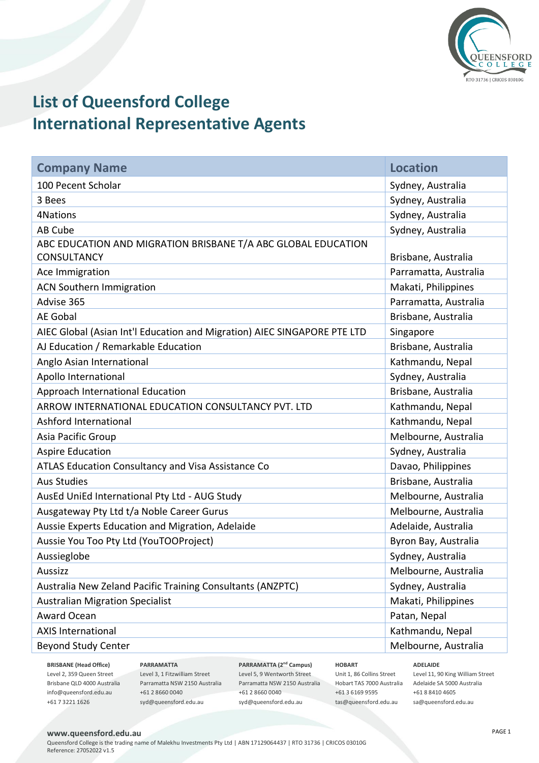

# **List of Queensford College International Representative Agents**

| <b>Company Name</b>                                                                 | <b>Location</b>       |
|-------------------------------------------------------------------------------------|-----------------------|
| 100 Pecent Scholar                                                                  | Sydney, Australia     |
| 3 Bees                                                                              | Sydney, Australia     |
| 4Nations                                                                            | Sydney, Australia     |
| AB Cube                                                                             | Sydney, Australia     |
| ABC EDUCATION AND MIGRATION BRISBANE T/A ABC GLOBAL EDUCATION<br><b>CONSULTANCY</b> | Brisbane, Australia   |
| Ace Immigration                                                                     | Parramatta, Australia |
| <b>ACN Southern Immigration</b>                                                     | Makati, Philippines   |
| Advise 365                                                                          | Parramatta, Australia |
| <b>AE Gobal</b>                                                                     | Brisbane, Australia   |
| AIEC Global (Asian Int'l Education and Migration) AIEC SINGAPORE PTE LTD            | Singapore             |
| AJ Education / Remarkable Education                                                 | Brisbane, Australia   |
| Anglo Asian International                                                           | Kathmandu, Nepal      |
| Apollo International                                                                | Sydney, Australia     |
| Approach International Education                                                    | Brisbane, Australia   |
| ARROW INTERNATIONAL EDUCATION CONSULTANCY PVT. LTD                                  | Kathmandu, Nepal      |
| Ashford International                                                               | Kathmandu, Nepal      |
| Asia Pacific Group                                                                  | Melbourne, Australia  |
| <b>Aspire Education</b>                                                             | Sydney, Australia     |
| ATLAS Education Consultancy and Visa Assistance Co                                  | Davao, Philippines    |
| <b>Aus Studies</b>                                                                  | Brisbane, Australia   |
| AusEd UniEd International Pty Ltd - AUG Study                                       | Melbourne, Australia  |
| Ausgateway Pty Ltd t/a Noble Career Gurus                                           | Melbourne, Australia  |
| Aussie Experts Education and Migration, Adelaide                                    | Adelaide, Australia   |
| Aussie You Too Pty Ltd (YouTOOProject)                                              | Byron Bay, Australia  |
| Aussieglobe                                                                         | Sydney, Australia     |
| Aussizz                                                                             | Melbourne, Australia  |
| Australia New Zeland Pacific Training Consultants (ANZPTC)                          | Sydney, Australia     |
| <b>Australian Migration Specialist</b>                                              | Makati, Philippines   |
| Award Ocean                                                                         | Patan, Nepal          |
| <b>AXIS International</b>                                                           | Kathmandu, Nepal      |
| <b>Beyond Study Center</b>                                                          | Melbourne, Australia  |

**BRISBANE (Head Office)** Level 2, 359 Queen Street Brisbane QLD 4000 Australia info@queensford.edu.au +61 7 3221 1626

**PARRAMATTA** Level 3, 1 Fitzwilliam Street Parramatta NSW 2150 Australia +61 2 8660 0040 syd@queensford.edu.au

**PARRAMATTA (2nd Campus)** Level 5, 9 Wentworth Street Parramatta NSW 2150 Australia +61 2 8660 0040 syd@queensford.edu.au

**HOBART** Unit 1, 86 Collins Street Hobart TAS 7000 Australia Adelaide SA 5000 Australia +61 3 6169 9595 tas@queensford.edu.au

**ADELAIDE** Level 11, 90 King William Street +61 8 8410 4605 sa@queensford.edu.au

### **www.queensford.edu.au**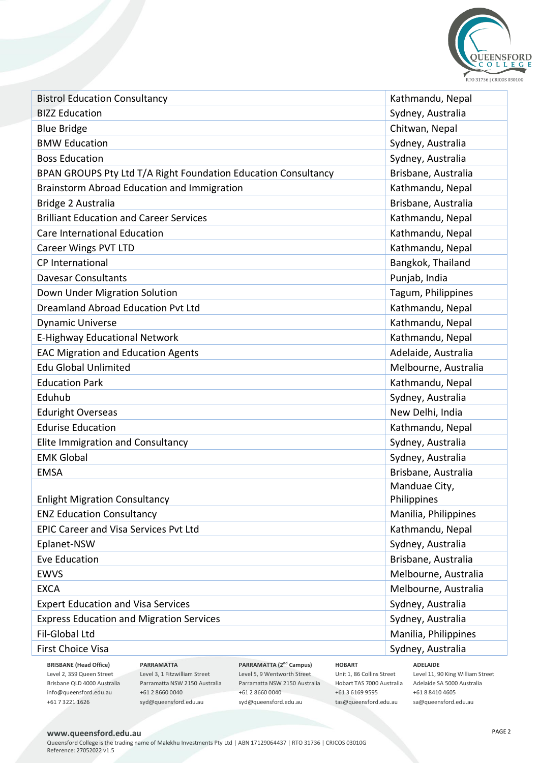

| <b>Bistrol Education Consultancy</b>                           | Kathmandu, Nepal     |
|----------------------------------------------------------------|----------------------|
| <b>BIZZ Education</b>                                          | Sydney, Australia    |
| <b>Blue Bridge</b>                                             | Chitwan, Nepal       |
| <b>BMW Education</b>                                           | Sydney, Australia    |
| <b>Boss Education</b>                                          | Sydney, Australia    |
| BPAN GROUPS Pty Ltd T/A Right Foundation Education Consultancy | Brisbane, Australia  |
| Brainstorm Abroad Education and Immigration                    | Kathmandu, Nepal     |
| Bridge 2 Australia                                             | Brisbane, Australia  |
| <b>Brilliant Education and Career Services</b>                 | Kathmandu, Nepal     |
| Care International Education                                   | Kathmandu, Nepal     |
| <b>Career Wings PVT LTD</b>                                    | Kathmandu, Nepal     |
| <b>CP</b> International                                        | Bangkok, Thailand    |
| <b>Davesar Consultants</b>                                     | Punjab, India        |
| Down Under Migration Solution                                  | Tagum, Philippines   |
| Dreamland Abroad Education Pvt Ltd                             | Kathmandu, Nepal     |
| <b>Dynamic Universe</b>                                        | Kathmandu, Nepal     |
| E-Highway Educational Network                                  | Kathmandu, Nepal     |
| <b>EAC Migration and Education Agents</b>                      | Adelaide, Australia  |
| <b>Edu Global Unlimited</b>                                    | Melbourne, Australia |
| <b>Education Park</b>                                          | Kathmandu, Nepal     |
| Eduhub                                                         | Sydney, Australia    |
| <b>Eduright Overseas</b>                                       | New Delhi, India     |
| <b>Edurise Education</b>                                       | Kathmandu, Nepal     |
| Elite Immigration and Consultancy                              | Sydney, Australia    |
| <b>EMK Global</b>                                              | Sydney, Australia    |
| <b>EMSA</b>                                                    | Brisbane, Australia  |
|                                                                | Manduae City,        |
| <b>Enlight Migration Consultancy</b>                           | Philippines          |
| <b>ENZ Education Consultancy</b>                               | Manilia, Philippines |
| <b>EPIC Career and Visa Services Pvt Ltd</b>                   | Kathmandu, Nepal     |
| Eplanet-NSW                                                    | Sydney, Australia    |
| Eve Education                                                  | Brisbane, Australia  |
| <b>EWVS</b>                                                    | Melbourne, Australia |
| <b>EXCA</b>                                                    | Melbourne, Australia |
| <b>Expert Education and Visa Services</b>                      | Sydney, Australia    |
| <b>Express Education and Migration Services</b>                | Sydney, Australia    |
| Fil-Global Ltd                                                 | Manilia, Philippines |
| First Choice Visa                                              | Sydney, Australia    |
|                                                                |                      |

**BRISBANE (Head Office)** Level 2, 359 Queen Street Brisbane QLD 4000 Australia info@queensford.edu.au +61 7 3221 1626

**PARRAMATTA** Level 3, 1 Fitzwilliam Street Parramatta NSW 2150 Australia +61 2 8660 0040 syd@queensford.edu.au

**PARRAMATTA (2nd Campus)** Level 5, 9 Wentworth Street Parramatta NSW 2150 Australia +61 2 8660 0040 syd@queensford.edu.au

**HOBART** Unit 1, 86 Collins Street Hobart TAS 7000 Australia Adelaide SA 5000 Australia +61 3 6169 9595 tas@queensford.edu.au

**ADELAIDE** Level 11, 90 King William Street +61 8 8410 4605 sa@queensford.edu.au

## **www.queensford.edu.au**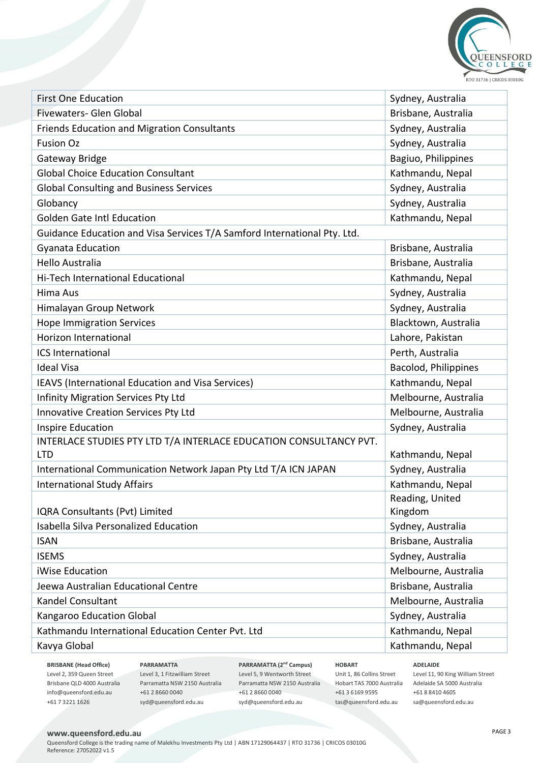

| <b>First One Education</b>                                                       | Sydney, Australia    |
|----------------------------------------------------------------------------------|----------------------|
| Fivewaters- Glen Global                                                          | Brisbane, Australia  |
| Friends Education and Migration Consultants                                      | Sydney, Australia    |
| <b>Fusion Oz</b>                                                                 | Sydney, Australia    |
| Gateway Bridge                                                                   | Bagiuo, Philippines  |
| <b>Global Choice Education Consultant</b>                                        | Kathmandu, Nepal     |
| <b>Global Consulting and Business Services</b>                                   | Sydney, Australia    |
| Globancy                                                                         | Sydney, Australia    |
| <b>Golden Gate Intl Education</b>                                                | Kathmandu, Nepal     |
| Guidance Education and Visa Services T/A Samford International Pty. Ltd.         |                      |
| Gyanata Education                                                                | Brisbane, Australia  |
| <b>Hello Australia</b>                                                           | Brisbane, Australia  |
| Hi-Tech International Educational                                                | Kathmandu, Nepal     |
| Hima Aus                                                                         | Sydney, Australia    |
| Himalayan Group Network                                                          | Sydney, Australia    |
| <b>Hope Immigration Services</b>                                                 | Blacktown, Australia |
| Horizon International                                                            | Lahore, Pakistan     |
| <b>ICS International</b>                                                         | Perth, Australia     |
| <b>Ideal Visa</b>                                                                | Bacolod, Philippines |
| IEAVS (International Education and Visa Services)                                | Kathmandu, Nepal     |
| Infinity Migration Services Pty Ltd                                              | Melbourne, Australia |
| Innovative Creation Services Pty Ltd                                             | Melbourne, Australia |
| Inspire Education                                                                | Sydney, Australia    |
| INTERLACE STUDIES PTY LTD T/A INTERLACE EDUCATION CONSULTANCY PVT.<br><b>LTD</b> | Kathmandu, Nepal     |
| International Communication Network Japan Pty Ltd T/A ICN JAPAN                  | Sydney, Australia    |
| <b>International Study Affairs</b>                                               | Kathmandu, Nepal     |
|                                                                                  | Reading, United      |
| IQRA Consultants (Pvt) Limited                                                   | Kingdom              |
| Isabella Silva Personalized Education                                            | Sydney, Australia    |
| <b>ISAN</b>                                                                      | Brisbane, Australia  |
| <b>ISEMS</b>                                                                     | Sydney, Australia    |
| iWise Education                                                                  | Melbourne, Australia |
| Jeewa Australian Educational Centre                                              | Brisbane, Australia  |
| Kandel Consultant                                                                | Melbourne, Australia |
| Kangaroo Education Global                                                        | Sydney, Australia    |
| Kathmandu International Education Center Pvt. Ltd                                | Kathmandu, Nepal     |
| Kavya Global                                                                     | Kathmandu, Nepal     |
|                                                                                  |                      |

**BRISBANE (Head Office)** Level 2, 359 Queen Street Brisbane QLD 4000 Australia info@queensford.edu.au +61 7 3221 1626

**PARRAMATTA** Level 3, 1 Fitzwilliam Street Parramatta NSW 2150 Australia +61 2 8660 0040 syd@queensford.edu.au

**PARRAMATTA (2nd Campus)** Level 5, 9 Wentworth Street Parramatta NSW 2150 Australia +61 2 8660 0040 syd@queensford.edu.au

**HOBART** Unit 1, 86 Collins Street Hobart TAS 7000 Australia Adelaide SA 5000 Australia +61 3 6169 9595 tas@queensford.edu.au

**ADELAIDE** Level 11, 90 King William Street +61 8 8410 4605 sa@queensford.edu.au

## **www.queensford.edu.au**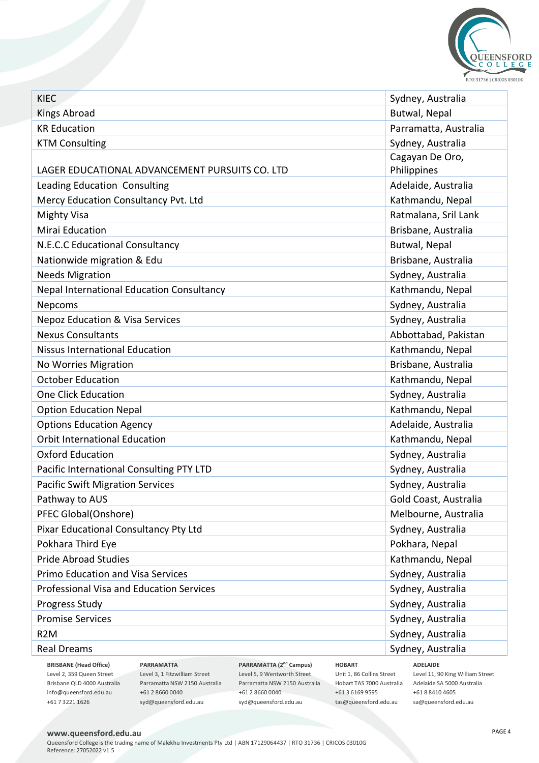

| Butwal, Nepal<br><b>Kings Abroad</b><br><b>KR Education</b><br>Parramatta, Australia<br>Sydney, Australia<br><b>KTM Consulting</b><br>Cagayan De Oro,<br>Philippines<br>LAGER EDUCATIONAL ADVANCEMENT PURSUITS CO. LTD<br>Adelaide, Australia<br>Leading Education Consulting<br>Mercy Education Consultancy Pvt. Ltd<br>Kathmandu, Nepal<br>Ratmalana, Sril Lank<br><b>Mighty Visa</b><br><b>Mirai Education</b><br>Brisbane, Australia<br>N.E.C.C Educational Consultancy<br>Butwal, Nepal<br>Nationwide migration & Edu<br>Brisbane, Australia<br><b>Needs Migration</b><br>Sydney, Australia<br>Kathmandu, Nepal<br><b>Nepal International Education Consultancy</b><br>Sydney, Australia<br>Nepcoms<br><b>Nepoz Education &amp; Visa Services</b><br>Sydney, Australia<br><b>Nexus Consultants</b><br>Abbottabad, Pakistan<br>Kathmandu, Nepal<br>Nissus International Education<br>Brisbane, Australia<br>No Worries Migration<br><b>October Education</b><br>Kathmandu, Nepal<br>Sydney, Australia<br>One Click Education<br>Kathmandu, Nepal<br><b>Option Education Nepal</b><br>Adelaide, Australia<br><b>Options Education Agency</b><br><b>Orbit International Education</b><br>Kathmandu, Nepal<br><b>Oxford Education</b><br>Sydney, Australia<br>Sydney, Australia<br>Pacific International Consulting PTY LTD<br><b>Pacific Swift Migration Services</b><br>Sydney, Australia<br>Pathway to AUS<br>Gold Coast, Australia<br>PFEC Global(Onshore)<br>Melbourne, Australia<br>Pixar Educational Consultancy Pty Ltd<br>Sydney, Australia<br>Pokhara Third Eye<br>Pokhara, Nepal<br><b>Pride Abroad Studies</b><br>Kathmandu, Nepal<br>Primo Education and Visa Services<br>Sydney, Australia | <b>KIEC</b> | Sydney, Australia |
|-----------------------------------------------------------------------------------------------------------------------------------------------------------------------------------------------------------------------------------------------------------------------------------------------------------------------------------------------------------------------------------------------------------------------------------------------------------------------------------------------------------------------------------------------------------------------------------------------------------------------------------------------------------------------------------------------------------------------------------------------------------------------------------------------------------------------------------------------------------------------------------------------------------------------------------------------------------------------------------------------------------------------------------------------------------------------------------------------------------------------------------------------------------------------------------------------------------------------------------------------------------------------------------------------------------------------------------------------------------------------------------------------------------------------------------------------------------------------------------------------------------------------------------------------------------------------------------------------------------------------------------------------------------------------------------------------------------|-------------|-------------------|
|                                                                                                                                                                                                                                                                                                                                                                                                                                                                                                                                                                                                                                                                                                                                                                                                                                                                                                                                                                                                                                                                                                                                                                                                                                                                                                                                                                                                                                                                                                                                                                                                                                                                                                           |             |                   |
|                                                                                                                                                                                                                                                                                                                                                                                                                                                                                                                                                                                                                                                                                                                                                                                                                                                                                                                                                                                                                                                                                                                                                                                                                                                                                                                                                                                                                                                                                                                                                                                                                                                                                                           |             |                   |
|                                                                                                                                                                                                                                                                                                                                                                                                                                                                                                                                                                                                                                                                                                                                                                                                                                                                                                                                                                                                                                                                                                                                                                                                                                                                                                                                                                                                                                                                                                                                                                                                                                                                                                           |             |                   |
|                                                                                                                                                                                                                                                                                                                                                                                                                                                                                                                                                                                                                                                                                                                                                                                                                                                                                                                                                                                                                                                                                                                                                                                                                                                                                                                                                                                                                                                                                                                                                                                                                                                                                                           |             |                   |
|                                                                                                                                                                                                                                                                                                                                                                                                                                                                                                                                                                                                                                                                                                                                                                                                                                                                                                                                                                                                                                                                                                                                                                                                                                                                                                                                                                                                                                                                                                                                                                                                                                                                                                           |             |                   |
|                                                                                                                                                                                                                                                                                                                                                                                                                                                                                                                                                                                                                                                                                                                                                                                                                                                                                                                                                                                                                                                                                                                                                                                                                                                                                                                                                                                                                                                                                                                                                                                                                                                                                                           |             |                   |
|                                                                                                                                                                                                                                                                                                                                                                                                                                                                                                                                                                                                                                                                                                                                                                                                                                                                                                                                                                                                                                                                                                                                                                                                                                                                                                                                                                                                                                                                                                                                                                                                                                                                                                           |             |                   |
|                                                                                                                                                                                                                                                                                                                                                                                                                                                                                                                                                                                                                                                                                                                                                                                                                                                                                                                                                                                                                                                                                                                                                                                                                                                                                                                                                                                                                                                                                                                                                                                                                                                                                                           |             |                   |
|                                                                                                                                                                                                                                                                                                                                                                                                                                                                                                                                                                                                                                                                                                                                                                                                                                                                                                                                                                                                                                                                                                                                                                                                                                                                                                                                                                                                                                                                                                                                                                                                                                                                                                           |             |                   |
|                                                                                                                                                                                                                                                                                                                                                                                                                                                                                                                                                                                                                                                                                                                                                                                                                                                                                                                                                                                                                                                                                                                                                                                                                                                                                                                                                                                                                                                                                                                                                                                                                                                                                                           |             |                   |
|                                                                                                                                                                                                                                                                                                                                                                                                                                                                                                                                                                                                                                                                                                                                                                                                                                                                                                                                                                                                                                                                                                                                                                                                                                                                                                                                                                                                                                                                                                                                                                                                                                                                                                           |             |                   |
|                                                                                                                                                                                                                                                                                                                                                                                                                                                                                                                                                                                                                                                                                                                                                                                                                                                                                                                                                                                                                                                                                                                                                                                                                                                                                                                                                                                                                                                                                                                                                                                                                                                                                                           |             |                   |
|                                                                                                                                                                                                                                                                                                                                                                                                                                                                                                                                                                                                                                                                                                                                                                                                                                                                                                                                                                                                                                                                                                                                                                                                                                                                                                                                                                                                                                                                                                                                                                                                                                                                                                           |             |                   |
|                                                                                                                                                                                                                                                                                                                                                                                                                                                                                                                                                                                                                                                                                                                                                                                                                                                                                                                                                                                                                                                                                                                                                                                                                                                                                                                                                                                                                                                                                                                                                                                                                                                                                                           |             |                   |
|                                                                                                                                                                                                                                                                                                                                                                                                                                                                                                                                                                                                                                                                                                                                                                                                                                                                                                                                                                                                                                                                                                                                                                                                                                                                                                                                                                                                                                                                                                                                                                                                                                                                                                           |             |                   |
|                                                                                                                                                                                                                                                                                                                                                                                                                                                                                                                                                                                                                                                                                                                                                                                                                                                                                                                                                                                                                                                                                                                                                                                                                                                                                                                                                                                                                                                                                                                                                                                                                                                                                                           |             |                   |
|                                                                                                                                                                                                                                                                                                                                                                                                                                                                                                                                                                                                                                                                                                                                                                                                                                                                                                                                                                                                                                                                                                                                                                                                                                                                                                                                                                                                                                                                                                                                                                                                                                                                                                           |             |                   |
|                                                                                                                                                                                                                                                                                                                                                                                                                                                                                                                                                                                                                                                                                                                                                                                                                                                                                                                                                                                                                                                                                                                                                                                                                                                                                                                                                                                                                                                                                                                                                                                                                                                                                                           |             |                   |
|                                                                                                                                                                                                                                                                                                                                                                                                                                                                                                                                                                                                                                                                                                                                                                                                                                                                                                                                                                                                                                                                                                                                                                                                                                                                                                                                                                                                                                                                                                                                                                                                                                                                                                           |             |                   |
|                                                                                                                                                                                                                                                                                                                                                                                                                                                                                                                                                                                                                                                                                                                                                                                                                                                                                                                                                                                                                                                                                                                                                                                                                                                                                                                                                                                                                                                                                                                                                                                                                                                                                                           |             |                   |
|                                                                                                                                                                                                                                                                                                                                                                                                                                                                                                                                                                                                                                                                                                                                                                                                                                                                                                                                                                                                                                                                                                                                                                                                                                                                                                                                                                                                                                                                                                                                                                                                                                                                                                           |             |                   |
|                                                                                                                                                                                                                                                                                                                                                                                                                                                                                                                                                                                                                                                                                                                                                                                                                                                                                                                                                                                                                                                                                                                                                                                                                                                                                                                                                                                                                                                                                                                                                                                                                                                                                                           |             |                   |
|                                                                                                                                                                                                                                                                                                                                                                                                                                                                                                                                                                                                                                                                                                                                                                                                                                                                                                                                                                                                                                                                                                                                                                                                                                                                                                                                                                                                                                                                                                                                                                                                                                                                                                           |             |                   |
|                                                                                                                                                                                                                                                                                                                                                                                                                                                                                                                                                                                                                                                                                                                                                                                                                                                                                                                                                                                                                                                                                                                                                                                                                                                                                                                                                                                                                                                                                                                                                                                                                                                                                                           |             |                   |
|                                                                                                                                                                                                                                                                                                                                                                                                                                                                                                                                                                                                                                                                                                                                                                                                                                                                                                                                                                                                                                                                                                                                                                                                                                                                                                                                                                                                                                                                                                                                                                                                                                                                                                           |             |                   |
|                                                                                                                                                                                                                                                                                                                                                                                                                                                                                                                                                                                                                                                                                                                                                                                                                                                                                                                                                                                                                                                                                                                                                                                                                                                                                                                                                                                                                                                                                                                                                                                                                                                                                                           |             |                   |
|                                                                                                                                                                                                                                                                                                                                                                                                                                                                                                                                                                                                                                                                                                                                                                                                                                                                                                                                                                                                                                                                                                                                                                                                                                                                                                                                                                                                                                                                                                                                                                                                                                                                                                           |             |                   |
|                                                                                                                                                                                                                                                                                                                                                                                                                                                                                                                                                                                                                                                                                                                                                                                                                                                                                                                                                                                                                                                                                                                                                                                                                                                                                                                                                                                                                                                                                                                                                                                                                                                                                                           |             |                   |
|                                                                                                                                                                                                                                                                                                                                                                                                                                                                                                                                                                                                                                                                                                                                                                                                                                                                                                                                                                                                                                                                                                                                                                                                                                                                                                                                                                                                                                                                                                                                                                                                                                                                                                           |             |                   |
|                                                                                                                                                                                                                                                                                                                                                                                                                                                                                                                                                                                                                                                                                                                                                                                                                                                                                                                                                                                                                                                                                                                                                                                                                                                                                                                                                                                                                                                                                                                                                                                                                                                                                                           |             |                   |
|                                                                                                                                                                                                                                                                                                                                                                                                                                                                                                                                                                                                                                                                                                                                                                                                                                                                                                                                                                                                                                                                                                                                                                                                                                                                                                                                                                                                                                                                                                                                                                                                                                                                                                           |             |                   |
|                                                                                                                                                                                                                                                                                                                                                                                                                                                                                                                                                                                                                                                                                                                                                                                                                                                                                                                                                                                                                                                                                                                                                                                                                                                                                                                                                                                                                                                                                                                                                                                                                                                                                                           |             |                   |
| Professional Visa and Education Services<br>Sydney, Australia                                                                                                                                                                                                                                                                                                                                                                                                                                                                                                                                                                                                                                                                                                                                                                                                                                                                                                                                                                                                                                                                                                                                                                                                                                                                                                                                                                                                                                                                                                                                                                                                                                             |             |                   |
| Sydney, Australia<br>Progress Study                                                                                                                                                                                                                                                                                                                                                                                                                                                                                                                                                                                                                                                                                                                                                                                                                                                                                                                                                                                                                                                                                                                                                                                                                                                                                                                                                                                                                                                                                                                                                                                                                                                                       |             |                   |
| <b>Promise Services</b><br>Sydney, Australia                                                                                                                                                                                                                                                                                                                                                                                                                                                                                                                                                                                                                                                                                                                                                                                                                                                                                                                                                                                                                                                                                                                                                                                                                                                                                                                                                                                                                                                                                                                                                                                                                                                              |             |                   |
| Sydney, Australia<br>R <sub>2</sub> M                                                                                                                                                                                                                                                                                                                                                                                                                                                                                                                                                                                                                                                                                                                                                                                                                                                                                                                                                                                                                                                                                                                                                                                                                                                                                                                                                                                                                                                                                                                                                                                                                                                                     |             |                   |
| Sydney, Australia<br><b>Real Dreams</b>                                                                                                                                                                                                                                                                                                                                                                                                                                                                                                                                                                                                                                                                                                                                                                                                                                                                                                                                                                                                                                                                                                                                                                                                                                                                                                                                                                                                                                                                                                                                                                                                                                                                   |             |                   |

**BRISBANE (Head Office)** Level 2, 359 Queen Street Brisbane QLD 4000 Australia info@queensford.edu.au +61 7 3221 1626

**PARRAMATTA** Level 3, 1 Fitzwilliam Street Parramatta NSW 2150 Australia +61 2 8660 0040 syd@queensford.edu.au

**PARRAMATTA (2nd Campus)** Level 5, 9 Wentworth Street Parramatta NSW 2150 Australia +61 2 8660 0040 syd@queensford.edu.au

**HOBART** Unit 1, 86 Collins Street Hobart TAS 7000 Australia Adelaide SA 5000 Australia +61 3 6169 9595 tas@queensford.edu.au

**ADELAIDE** Level 11, 90 King William Street +61 8 8410 4605 sa@queensford.edu.au

## **www.queensford.edu.au**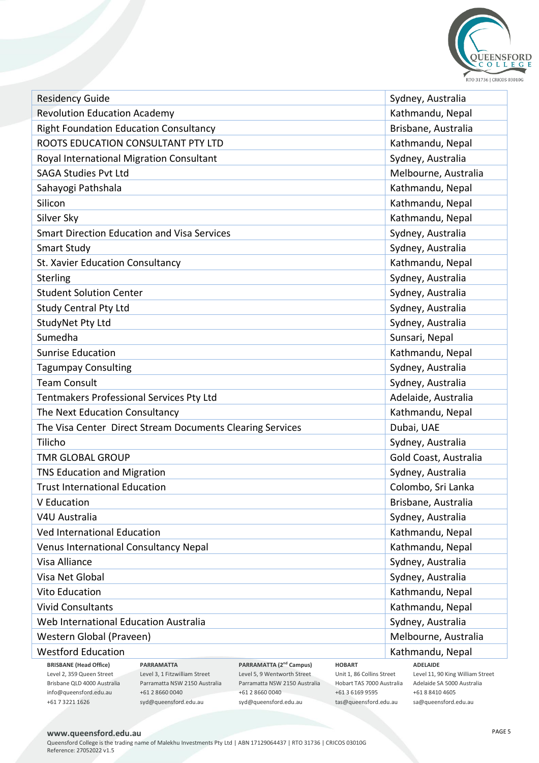

| <b>Residency Guide</b>                                                                                                                                                                                                               | Sydney, Australia                                   |
|--------------------------------------------------------------------------------------------------------------------------------------------------------------------------------------------------------------------------------------|-----------------------------------------------------|
| <b>Revolution Education Academy</b>                                                                                                                                                                                                  | Kathmandu, Nepal                                    |
| <b>Right Foundation Education Consultancy</b>                                                                                                                                                                                        | Brisbane, Australia                                 |
| ROOTS EDUCATION CONSULTANT PTY LTD                                                                                                                                                                                                   | Kathmandu, Nepal                                    |
| Royal International Migration Consultant                                                                                                                                                                                             | Sydney, Australia                                   |
| <b>SAGA Studies Pvt Ltd</b>                                                                                                                                                                                                          | Melbourne, Australia                                |
| Sahayogi Pathshala                                                                                                                                                                                                                   | Kathmandu, Nepal                                    |
| Silicon                                                                                                                                                                                                                              | Kathmandu, Nepal                                    |
| Silver Sky                                                                                                                                                                                                                           | Kathmandu, Nepal                                    |
| <b>Smart Direction Education and Visa Services</b>                                                                                                                                                                                   | Sydney, Australia                                   |
| <b>Smart Study</b>                                                                                                                                                                                                                   | Sydney, Australia                                   |
| St. Xavier Education Consultancy                                                                                                                                                                                                     | Kathmandu, Nepal                                    |
| Sterling                                                                                                                                                                                                                             | Sydney, Australia                                   |
| <b>Student Solution Center</b>                                                                                                                                                                                                       | Sydney, Australia                                   |
| <b>Study Central Pty Ltd</b>                                                                                                                                                                                                         | Sydney, Australia                                   |
| StudyNet Pty Ltd                                                                                                                                                                                                                     | Sydney, Australia                                   |
| Sumedha                                                                                                                                                                                                                              | Sunsari, Nepal                                      |
| <b>Sunrise Education</b>                                                                                                                                                                                                             | Kathmandu, Nepal                                    |
| <b>Tagumpay Consulting</b>                                                                                                                                                                                                           | Sydney, Australia                                   |
| <b>Team Consult</b>                                                                                                                                                                                                                  | Sydney, Australia                                   |
| Tentmakers Professional Services Pty Ltd                                                                                                                                                                                             | Adelaide, Australia                                 |
| The Next Education Consultancy                                                                                                                                                                                                       | Kathmandu, Nepal                                    |
| The Visa Center Direct Stream Documents Clearing Services                                                                                                                                                                            | Dubai, UAE                                          |
| Tilicho                                                                                                                                                                                                                              | Sydney, Australia                                   |
| <b>TMR GLOBAL GROUP</b>                                                                                                                                                                                                              | Gold Coast, Australia                               |
| TNS Education and Migration                                                                                                                                                                                                          | Sydney, Australia                                   |
| <b>Trust International Education</b>                                                                                                                                                                                                 | Colombo, Sri Lanka                                  |
| V Education                                                                                                                                                                                                                          | Brisbane, Australia                                 |
| V4U Australia                                                                                                                                                                                                                        | Sydney, Australia                                   |
| Ved International Education                                                                                                                                                                                                          | Kathmandu, Nepal                                    |
| <b>Venus International Consultancy Nepal</b>                                                                                                                                                                                         | Kathmandu, Nepal                                    |
| Visa Alliance                                                                                                                                                                                                                        | Sydney, Australia                                   |
| Visa Net Global                                                                                                                                                                                                                      | Sydney, Australia                                   |
| <b>Vito Education</b>                                                                                                                                                                                                                | Kathmandu, Nepal                                    |
| <b>Vivid Consultants</b>                                                                                                                                                                                                             | Kathmandu, Nepal                                    |
| Web International Education Australia                                                                                                                                                                                                | Sydney, Australia                                   |
| Western Global (Praveen)                                                                                                                                                                                                             | Melbourne, Australia                                |
| <b>Westford Education</b>                                                                                                                                                                                                            | Kathmandu, Nepal                                    |
| <b>BRISBANE</b> (Head Office)<br><b>PARRAMATTA</b><br>PARRAMATTA (2 <sup>nd</sup> Campus)<br><b>HOBART</b><br>Level 2, 359 Queen Street<br>Level 3, 1 Fitzwilliam Street<br>Level 5, 9 Wentworth Street<br>Unit 1, 86 Collins Street | <b>ADELAIDE</b><br>Level 11, 90 King William Street |
| Brisbane QLD 4000 Australia<br>Parramatta NSW 2150 Australia<br>Parramatta NSW 2150 Australia<br>Hobart TAS 7000 Australia                                                                                                           | Adelaide SA 5000 Australia                          |

## **www.queensford.edu.au**

info@queensford.edu.au +61 7 3221 1626

Queensford College is the trading name of Malekhu Investments Pty Ltd | ABN 17129064437 | RTO 31736 | CRICOS 03010G Reference: 27052022 v1.5

+61 2 8660 0040 syd@queensford.edu.au +61 3 6169 9595 tas@queensford.edu.au

+61 2 8660 0040 syd@queensford.edu.au +61 8 8410 4605 sa@queensford.edu.au